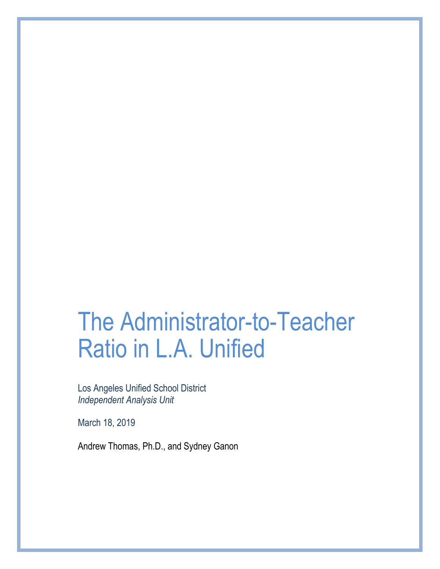# The Administrator-to-Teacher Ratio in L.A. Unified

Los Angeles Unified School District *Independent Analysis Unit*

March 18, 2019

Andrew Thomas, Ph.D., and Sydney Ganon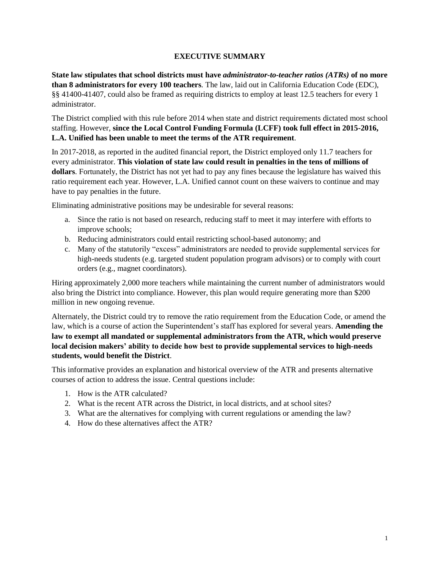### **EXECUTIVE SUMMARY**

**State law stipulates that school districts must have** *administrator-to-teacher ratios (ATRs)* **of no more than 8 administrators for every 100 teachers***.* The law, laid out in California Education Code (EDC), §§ 41400-41407, could also be framed as requiring districts to employ at least 12.5 teachers for every 1 administrator.

The District complied with this rule before 2014 when state and district requirements dictated most school staffing. However, **since the Local Control Funding Formula (LCFF) took full effect in 2015-2016, L.A. Unified has been unable to meet the terms of the ATR requirement**.

In 2017-2018, as reported in the audited financial report, the District employed only 11.7 teachers for every administrator. **This violation of state law could result in penalties in the tens of millions of dollars**. Fortunately, the District has not yet had to pay any fines because the legislature has waived this ratio requirement each year. However, L.A. Unified cannot count on these waivers to continue and may have to pay penalties in the future.

Eliminating administrative positions may be undesirable for several reasons:

- a. Since the ratio is not based on research, reducing staff to meet it may interfere with efforts to improve schools;
- b. Reducing administrators could entail restricting school-based autonomy; and
- c. Many of the statutorily "excess" administrators are needed to provide supplemental services for high-needs students (e.g. targeted student population program advisors) or to comply with court orders (e.g., magnet coordinators).

Hiring approximately 2,000 more teachers while maintaining the current number of administrators would also bring the District into compliance. However, this plan would require generating more than \$200 million in new ongoing revenue.

Alternately, the District could try to remove the ratio requirement from the Education Code, or amend the law, which is a course of action the Superintendent's staff has explored for several years. **Amending the law to exempt all mandated or supplemental administrators from the ATR, which would preserve local decision makers' ability to decide how best to provide supplemental services to high-needs students, would benefit the District**.

This informative provides an explanation and historical overview of the ATR and presents alternative courses of action to address the issue. Central questions include:

- 1. How is the ATR calculated?
- 2. What is the recent ATR across the District, in local districts, and at school sites?
- 3. What are the alternatives for complying with current regulations or amending the law?
- 4. How do these alternatives affect the ATR?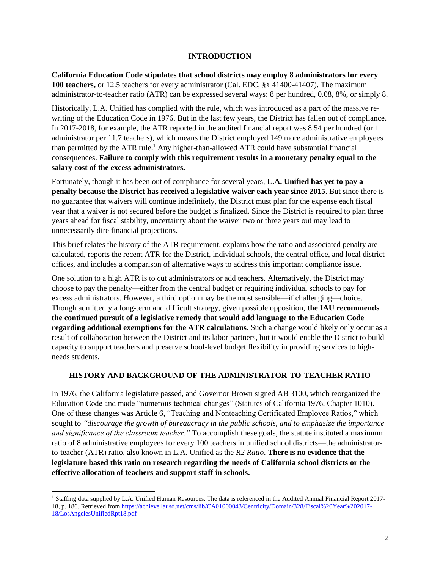#### **INTRODUCTION**

**California Education Code stipulates that school districts may employ 8 administrators for every 100 teachers,** or 12.5 teachers for every administrator (Cal. EDC, §§ 41400-41407). The maximum administrator-to-teacher ratio (ATR) can be expressed several ways: 8 per hundred, 0.08, 8%, or simply 8.

Historically, L.A. Unified has complied with the rule, which was introduced as a part of the massive rewriting of the Education Code in 1976. But in the last few years, the District has fallen out of compliance. In 2017-2018, for example, the ATR reported in the audited financial report was 8.54 per hundred (or 1 administrator per 11.7 teachers), which means the District employed 149 more administrative employees than permitted by the ATR rule. <sup>1</sup> Any higher-than-allowed ATR could have substantial financial consequences. **Failure to comply with this requirement results in a monetary penalty equal to the salary cost of the excess administrators.**

Fortunately, though it has been out of compliance for several years, **L.A. Unified has yet to pay a penalty because the District has received a legislative waiver each year since 2015**. But since there is no guarantee that waivers will continue indefinitely, the District must plan for the expense each fiscal year that a waiver is not secured before the budget is finalized. Since the District is required to plan three years ahead for fiscal stability, uncertainty about the waiver two or three years out may lead to unnecessarily dire financial projections.

This brief relates the history of the ATR requirement, explains how the ratio and associated penalty are calculated, reports the recent ATR for the District, individual schools, the central office, and local district offices, and includes a comparison of alternative ways to address this important compliance issue.

One solution to a high ATR is to cut administrators or add teachers. Alternatively, the District may choose to pay the penalty—either from the central budget or requiring individual schools to pay for excess administrators. However, a third option may be the most sensible—if challenging—choice. Though admittedly a long-term and difficult strategy, given possible opposition, **the IAU recommends the continued pursuit of a legislative remedy that would add language to the Education Code regarding additional exemptions for the ATR calculations.** Such a change would likely only occur as a result of collaboration between the District and its labor partners, but it would enable the District to build capacity to support teachers and preserve school-level budget flexibility in providing services to highneeds students.

# **HISTORY AND BACKGROUND OF THE ADMINISTRATOR-TO-TEACHER RATIO**

In 1976, the California legislature passed, and Governor Brown signed AB 3100, which reorganized the Education Code and made "numerous technical changes" (Statutes of California 1976, Chapter 1010). One of these changes was Article 6, "Teaching and Nonteaching Certificated Employee Ratios," which sought to *"discourage the growth of bureaucracy in the public schools, and to emphasize the importance and significance of the classroom teacher."* To accomplish these goals, the statute instituted a maximum ratio of 8 administrative employees for every 100 teachers in unified school districts—the administratorto-teacher (ATR) ratio, also known in L.A. Unified as the *R2 Ratio*. **There is no evidence that the legislature based this ratio on research regarding the needs of California school districts or the effective allocation of teachers and support staff in schools.**

<sup>&</sup>lt;sup>1</sup> Staffing data supplied by L.A. Unified Human Resources. The data is referenced in the Audited Annual Financial Report 2017-18, p. 186. Retrieved fro[m https://achieve.lausd.net/cms/lib/CA01000043/Centricity/Domain/328/Fiscal%20Year%202017-](https://achieve.lausd.net/cms/lib/CA01000043/Centricity/Domain/328/Fiscal%20Year%202017-18/LosAngelesUnifiedRpt18.pdf) [18/LosAngelesUnifiedRpt18.pdf](https://achieve.lausd.net/cms/lib/CA01000043/Centricity/Domain/328/Fiscal%20Year%202017-18/LosAngelesUnifiedRpt18.pdf)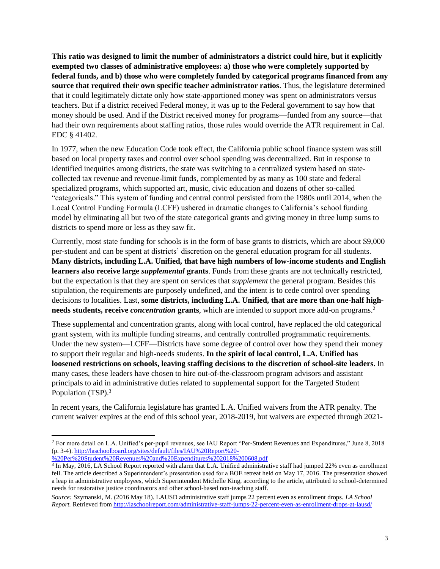**This ratio was designed to limit the number of administrators a district could hire, but it explicitly exempted two classes of administrative employees: a) those who were completely supported by federal funds, and b) those who were completely funded by categorical programs financed from any source that required their own specific teacher administrator ratios**. Thus, the legislature determined that it could legitimately dictate only how state-apportioned money was spent on administrators versus teachers. But if a district received Federal money, it was up to the Federal government to say how that money should be used. And if the District received money for programs—funded from any source—that had their own requirements about staffing ratios, those rules would override the ATR requirement in Cal. EDC § 41402.

In 1977, when the new Education Code took effect, the California public school finance system was still based on local property taxes and control over school spending was decentralized. But in response to identified inequities among districts, the state was switching to a centralized system based on statecollected tax revenue and revenue-limit funds, complemented by as many as 100 state and federal specialized programs, which supported art, music, civic education and dozens of other so-called "categoricals." This system of funding and central control persisted from the 1980s until 2014, when the Local Control Funding Formula (LCFF) ushered in dramatic changes to California's school funding model by eliminating all but two of the state categorical grants and giving money in three lump sums to districts to spend more or less as they saw fit.

Currently, most state funding for schools is in the form of base grants to districts, which are about \$9,000 per-student and can be spent at districts' discretion on the general education program for all students. **Many districts, including L.A. Unified, that have high numbers of low-income students and English learners also receive large** *supplemental* **grants**. Funds from these grants are not technically restricted, but the expectation is that they are spent on services that *supplement* the general program. Besides this stipulation, the requirements are purposely undefined, and the intent is to cede control over spending decisions to localities. Last, **some districts, including L.A. Unified, that are more than one-half highneeds students, receive** *concentration* **grants**, which are intended to support more add-on programs. 2

These supplemental and concentration grants, along with local control, have replaced the old categorical grant system, with its multiple funding streams, and centrally controlled programmatic requirements. Under the new system—LCFF—Districts have some degree of control over how they spend their money to support their regular and high-needs students. **In the spirit of local control, L.A. Unified has loosened restrictions on schools, leaving staffing decisions to the discretion of school-site leaders**. In many cases, these leaders have chosen to hire out-of-the-classroom program advisors and assistant principals to aid in administrative duties related to supplemental support for the Targeted Student Population (TSP).<sup>3</sup>

In recent years, the California legislature has granted L.A. Unified waivers from the ATR penalty. The current waiver expires at the end of this school year, 2018-2019, but waivers are expected through 2021-

<sup>&</sup>lt;sup>2</sup> For more detail on L.A. Unified's per-pupil revenues, see IAU Report "Per-Student Revenues and Expenditures," June 8, 2018 (p. 3-4)[. http://laschoolboard.org/sites/default/files/IAU%20Report%20-](http://laschoolboard.org/sites/default/files/IAU%20Report%20-%20Per%20Student%20Revenues%20and%20Expenditures%202018%200608.pdf)

[<sup>%20</sup>Per%20Student%20Revenues%20and%20Expenditures%202018%200608.pdf](http://laschoolboard.org/sites/default/files/IAU%20Report%20-%20Per%20Student%20Revenues%20and%20Expenditures%202018%200608.pdf)

<sup>&</sup>lt;sup>3</sup> In May, 2016, LA School Report reported with alarm that L.A. Unified administrative staff had jumped 22% even as enrollment fell. The article described a Superintendent's presentation used for a BOE retreat held on May 17, 2016. The presentation showed a leap in administrative employees, which Superintendent Michelle King, according to the article, attributed to school-determined needs for restorative justice coordinators and other school-based non-teaching staff.

*Source:* Szymanski, M. (2016 May 18). LAUSD administrative staff jumps 22 percent even as enrollment drops. *LA School Report.* Retrieved from<http://laschoolreport.com/administrative-staff-jumps-22-percent-even-as-enrollment-drops-at-lausd/>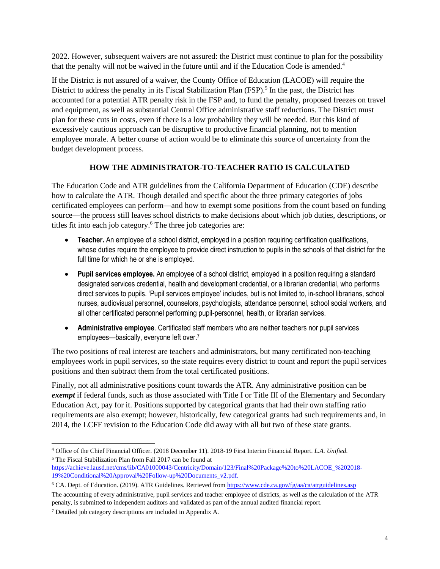2022. However, subsequent waivers are not assured: the District must continue to plan for the possibility that the penalty will not be waived in the future until and if the Education Code is amended. 4

If the District is not assured of a waiver, the County Office of Education (LACOE) will require the District to address the penalty in its Fiscal Stabilization Plan (FSP).<sup>5</sup> In the past, the District has accounted for a potential ATR penalty risk in the FSP and, to fund the penalty, proposed freezes on travel and equipment, as well as substantial Central Office administrative staff reductions. The District must plan for these cuts in costs, even if there is a low probability they will be needed. But this kind of excessively cautious approach can be disruptive to productive financial planning, not to mention employee morale. A better course of action would be to eliminate this source of uncertainty from the budget development process.

# **HOW THE ADMINISTRATOR-TO-TEACHER RATIO IS CALCULATED**

The Education Code and ATR guidelines from the California Department of Education (CDE) describe how to calculate the ATR. Though detailed and specific about the three primary categories of jobs certificated employees can perform—and how to exempt some positions from the count based on funding source—the process still leaves school districts to make decisions about which job duties, descriptions, or titles fit into each job category. <sup>6</sup> The three job categories are:

- **Teacher.** An employee of a school district, employed in a position requiring certification qualifications, whose duties require the employee to provide direct instruction to pupils in the schools of that district for the full time for which he or she is employed.
- **Pupil services employee.** An employee of a school district, employed in a position requiring a standard designated services credential, health and development credential, or a librarian credential, who performs direct services to pupils. 'Pupil services employee' includes, but is not limited to, in-school librarians, school nurses, audiovisual personnel, counselors, psychologists, attendance personnel, school social workers, and all other certificated personnel performing pupil-personnel, health, or librarian services.
- **Administrative employee**. Certificated staff members who are neither teachers nor pupil services employees—basically, everyone left over.<sup>7</sup>

The two positions of real interest are teachers and administrators, but many certificated non-teaching employees work in pupil services, so the state requires every district to count and report the pupil services positions and then subtract them from the total certificated positions.

Finally, not all administrative positions count towards the ATR. Any administrative position can be *exempt* if federal funds, such as those associated with Title I or Title III of the Elementary and Secondary Education Act, pay for it. Positions supported by categorical grants that had their own staffing ratio requirements are also exempt; however, historically, few categorical grants had such requirements and, in 2014, the LCFF revision to the Education Code did away with all but two of these state grants.

 <sup>4</sup> Office of the Chief Financial Officer. (2018 December 11). 2018-19 First Interim Financial Report. *L.A. Unified.* <sup>5</sup> The Fiscal Stabilization Plan from Fall 2017 can be found at

[https://achieve.lausd.net/cms/lib/CA01000043/Centricity/Domain/123/Final%20Package%20to%20LACOE\\_%202018-](https://achieve.lausd.net/cms/lib/CA01000043/Centricity/Domain/123/Final%20Package%20to%20LACOE_%202018-19%20Conditional%20Approval%20Follow-up%20Documents_v2.pdf) [19%20Conditional%20Approval%20Follow-up%20Documents\\_v2.pdf.](https://achieve.lausd.net/cms/lib/CA01000043/Centricity/Domain/123/Final%20Package%20to%20LACOE_%202018-19%20Conditional%20Approval%20Follow-up%20Documents_v2.pdf)

<sup>&</sup>lt;sup>6</sup> CA. Dept. of Education. (2019). ATR Guidelines. Retrieved from<https://www.cde.ca.gov/fg/aa/ca/atrguidelines.asp> The accounting of every administrative, pupil services and teacher employee of districts, as well as the calculation of the ATR penalty, is submitted to independent auditors and validated as part of the annual audited financial report.

<sup>7</sup> Detailed job category descriptions are included in Appendix A.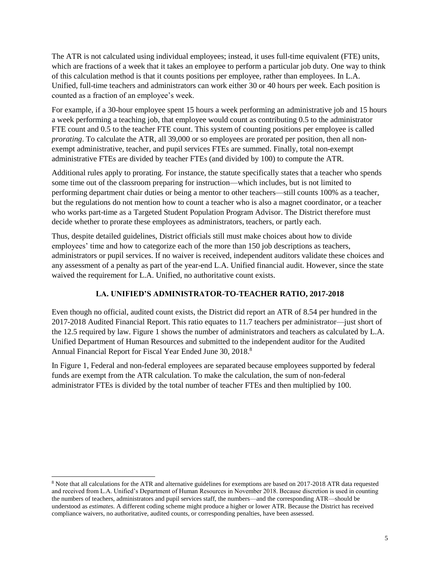The ATR is not calculated using individual employees; instead, it uses full-time equivalent (FTE) units, which are fractions of a week that it takes an employee to perform a particular job duty. One way to think of this calculation method is that it counts positions per employee, rather than employees. In L.A. Unified, full-time teachers and administrators can work either 30 or 40 hours per week. Each position is counted as a fraction of an employee's week.

For example, if a 30-hour employee spent 15 hours a week performing an administrative job and 15 hours a week performing a teaching job, that employee would count as contributing 0.5 to the administrator FTE count and 0.5 to the teacher FTE count. This system of counting positions per employee is called *prorating*. To calculate the ATR, all 39,000 or so employees are prorated per position, then all nonexempt administrative, teacher, and pupil services FTEs are summed. Finally, total non-exempt administrative FTEs are divided by teacher FTEs (and divided by 100) to compute the ATR.

Additional rules apply to prorating. For instance, the statute specifically states that a teacher who spends some time out of the classroom preparing for instruction—which includes, but is not limited to performing department chair duties or being a mentor to other teachers—still counts 100% as a teacher, but the regulations do not mention how to count a teacher who is also a magnet coordinator, or a teacher who works part-time as a Targeted Student Population Program Advisor. The District therefore must decide whether to prorate these employees as administrators, teachers, or partly each.

Thus, despite detailed guidelines, District officials still must make choices about how to divide employees' time and how to categorize each of the more than 150 job descriptions as teachers, administrators or pupil services. If no waiver is received, independent auditors validate these choices and any assessment of a penalty as part of the year-end L.A. Unified financial audit. However, since the state waived the requirement for L.A. Unified, no authoritative count exists.

# **LA. UNIFIED'S ADMINISTRATOR-TO-TEACHER RATIO, 2017-2018**

Even though no official, audited count exists, the District did report an ATR of 8.54 per hundred in the 2017-2018 Audited Financial Report. This ratio equates to 11.7 teachers per administrator—just short of the 12.5 required by law. Figure 1 shows the number of administrators and teachers as calculated by L.A. Unified Department of Human Resources and submitted to the independent auditor for the Audited Annual Financial Report for Fiscal Year Ended June 30, 2018.<sup>8</sup>

In Figure 1, Federal and non-federal employees are separated because employees supported by federal funds are exempt from the ATR calculation. To make the calculation, the sum of non-federal administrator FTEs is divided by the total number of teacher FTEs and then multiplied by 100.

 $\overline{a}$ 

<sup>8</sup> Note that all calculations for the ATR and alternative guidelines for exemptions are based on 2017-2018 ATR data requested and received from L.A. Unified's Department of Human Resources in November 2018. Because discretion is used in counting the numbers of teachers, administrators and pupil services staff, the numbers—and the corresponding ATR—should be understood as *estimates*. A different coding scheme might produce a higher or lower ATR. Because the District has received compliance waivers, no authoritative, audited counts, or corresponding penalties, have been assessed.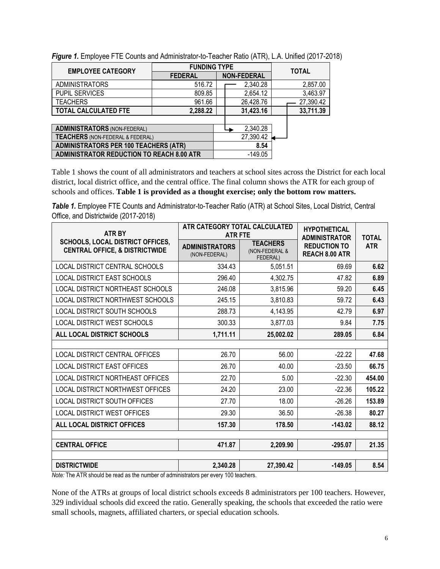|                                                  | <b>FUNDING TYPE</b> |  |                    |  |              |
|--------------------------------------------------|---------------------|--|--------------------|--|--------------|
| <b>EMPLOYEE CATEGORY</b>                         | <b>FEDERAL</b>      |  | <b>NON-FEDERAL</b> |  | <b>TOTAL</b> |
| <b>ADMINISTRATORS</b>                            | 516.72              |  | 2,340.28           |  | 2,857.00     |
| PUPIL SERVICES                                   | 809.85              |  | 2,654.12           |  | 3,463.97     |
| <b>TEACHERS</b>                                  | 961.66              |  | 26,428.76          |  | 27,390.42    |
| <b>TOTAL CALCULATED FTE</b>                      | 2,288.22            |  | 31,423.16          |  | 33,711.39    |
|                                                  |                     |  |                    |  |              |
| <b>ADMINISTRATORS (NON-FEDERAL)</b>              |                     |  | 2,340.28           |  |              |
| <b>TEACHERS (NON-FEDERAL &amp; FEDERAL)</b>      |                     |  | 27,390.42          |  |              |
| <b>ADMINISTRATORS PER 100 TEACHERS (ATR)</b>     |                     |  | 8.54               |  |              |
| <b>ADMINISTRATOR REDUCTION TO REACH 8.00 ATR</b> |                     |  | $-149.05$          |  |              |

*Figure 1.* Employee FTE Counts and Administrator-to-Teacher Ratio (ATR), L.A. Unified (2017-2018)

Table 1 shows the count of all administrators and teachers at school sites across the District for each local district, local district office, and the central office. The final column shows the ATR for each group of schools and offices. **Table 1 is provided as a thought exercise; only the bottom row matters.**

*Table 1.* Employee FTE Counts and Administrator-to-Teacher Ratio (ATR) at School Sites, Local District, Central Office, and Districtwide (2017-2018)

| <b>ATR BY</b>                                                                        | ATR CATEGORY TOTAL CALCULATED<br><b>ATR FTE</b>     |                                               | <b>HYPOTHETICAL</b><br><b>ADMINISTRATOR</b> | <b>TOTAL</b> |
|--------------------------------------------------------------------------------------|-----------------------------------------------------|-----------------------------------------------|---------------------------------------------|--------------|
| <b>SCHOOLS, LOCAL DISTRICT OFFICES,</b><br><b>CENTRAL OFFICE, &amp; DISTRICTWIDE</b> | <b>ADMINISTRATORS</b><br>(NON-FEDERAL)              | <b>TEACHERS</b><br>(NON-FEDERAL &<br>FEDERAL) | <b>REDUCTION TO</b><br>REACH 8.00 ATR       | <b>ATR</b>   |
| <b>LOCAL DISTRICT CENTRAL SCHOOLS</b>                                                | 334.43                                              | 5,051.51                                      | 69.69                                       | 6.62         |
| <b>LOCAL DISTRICT EAST SCHOOLS</b>                                                   | 296.40                                              | 4,302.75                                      | 47.82                                       | 6.89         |
| LOCAL DISTRICT NORTHEAST SCHOOLS                                                     | 246.08                                              | 3,815.96                                      | 59.20                                       | 6.45         |
| LOCAL DISTRICT NORTHWEST SCHOOLS                                                     | 245.15                                              | 3,810.83                                      | 59.72                                       | 6.43         |
| LOCAL DISTRICT SOUTH SCHOOLS                                                         | 288.73                                              | 4,143.95                                      | 42.79                                       | 6.97         |
| <b>LOCAL DISTRICT WEST SCHOOLS</b>                                                   | 300.33                                              | 3,877.03                                      | 9.84                                        | 7.75         |
| ALL LOCAL DISTRICT SCHOOLS                                                           | 1,711.11                                            | 25,002.02                                     | 289.05                                      | 6.84         |
|                                                                                      |                                                     |                                               |                                             |              |
| <b>LOCAL DISTRICT CENTRAL OFFICES</b>                                                | 26.70                                               | 56.00                                         | $-22.22$                                    | 47.68        |
| <b>LOCAL DISTRICT EAST OFFICES</b>                                                   | 26.70                                               | 40.00                                         | $-23.50$                                    | 66.75        |
| LOCAL DISTRICT NORTHEAST OFFICES                                                     | 22.70                                               | 5.00                                          | $-22.30$                                    | 454.00       |
| LOCAL DISTRICT NORTHWEST OFFICES                                                     | 24.20                                               | 23.00                                         | $-22.36$                                    | 105.22       |
| LOCAL DISTRICT SOUTH OFFICES                                                         | 27.70                                               | 18.00                                         | $-26.26$                                    | 153.89       |
| <b>LOCAL DISTRICT WEST OFFICES</b>                                                   | 29.30                                               | 36.50                                         | $-26.38$                                    | 80.27        |
| ALL LOCAL DISTRICT OFFICES                                                           | 157.30                                              | 178.50                                        | $-143.02$                                   | 88.12        |
| <b>CENTRAL OFFICE</b>                                                                | 471.87                                              |                                               | $-295.07$                                   | 21.35        |
|                                                                                      |                                                     | 2,209.90                                      |                                             |              |
| <b>DISTRICTWIDE</b><br>$\mathbf{r}$ and $\mathbf{r}$ and $\mathbf{r}$<br>.           | 2,340.28<br>$\lambda$ $\lambda$ $\lambda$ $\lambda$ | 27,390.42                                     | $-149.05$                                   | 8.54         |

*Note:* The ATR should be read as the number of administrators per every 100 teachers.

None of the ATRs at groups of local district schools exceeds 8 administrators per 100 teachers. However, 329 individual schools did exceed the ratio. Generally speaking, the schools that exceeded the ratio were small schools, magnets, affiliated charters, or special education schools.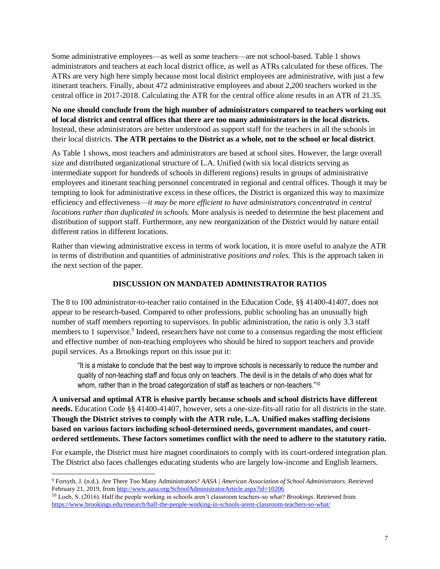Some administrative employees—as well as some teachers—are not school-based. Table 1 shows administrators and teachers at each local district office, as well as ATRs calculated for these offices. The ATRs are very high here simply because most local district employees are administrative, with just a few itinerant teachers. Finally, about 472 administrative employees and about 2,200 teachers worked in the central office in 2017-2018. Calculating the ATR for the central office alone results in an ATR of 21.35.

**No one should conclude from the high number of administrators compared to teachers working out of local district and central offices that there are too many administrators in the local districts.** Instead, these administrators are better understood as support staff for the teachers in all the schools in their local districts. **The ATR pertains to the District as a whole, not to the school or local district**.

As Table 1 shows, most teachers and administrators are based at school sites. However, the large overall size and distributed organizational structure of L.A. Unified (with six local districts serving as intermediate support for hundreds of schools in different regions) results in groups of administrative employees and itinerant teaching personnel concentrated in regional and central offices. Though it may be tempting to look for administrative excess in these offices, the District is organized this way to maximize efficiency and effectiveness—*it may be more efficient to have administrators concentrated in central locations rather than duplicated in schools.* More analysis is needed to determine the best placement and distribution of support staff. Furthermore, any new reorganization of the District would by nature entail different ratios in different locations.

Rather than viewing administrative excess in terms of work location, it is more useful to analyze the ATR in terms of distribution and quantities of administrative *positions and roles.* This is the approach taken in the next section of the paper.

# **DISCUSSION ON MANDATED ADMINISTRATOR RATIOS**

The 8 to 100 administrator-to-teacher ratio contained in the Education Code, §§ 41400-41407, does not appear to be research-based. Compared to other professions, public schooling has an unusually high number of staff members reporting to supervisors. In public administration, the ratio is only 3.3 staff members to 1 supervisor.<sup>9</sup> Indeed, researchers have not come to a consensus regarding the most efficient and effective number of non-teaching employees who should be hired to support teachers and provide pupil services. As a Brookings report on this issue put it:

"It is a mistake to conclude that the best way to improve schools is necessarily to reduce the number and quality of non-teaching staff and focus only on teachers. The devil is in the details of who does what for whom, rather than in the broad categorization of staff as teachers or non-teachers."<sup>10</sup>

**A universal and optimal ATR is elusive partly because schools and school districts have different needs.** Education Code §§ 41400-41407, however, sets a one-size-fits-all ratio for all districts in the state. **Though the District strives to comply with the ATR rule, L.A. Unified makes staffing decisions based on various factors including school-determined needs, government mandates, and courtordered settlements. These factors sometimes conflict with the need to adhere to the statutory ratio.**

For example, the District must hire magnet coordinators to comply with its court-ordered integration plan. The District also faces challenges educating students who are largely low-income and English learners.

 $\overline{a}$ <sup>9</sup> Forsyth, J. (n.d.). Are There Too Many Administrators? *AASA | American Association of School Administrators*. Retrieved February 21, 2019, fro[m http://www.aasa.org/SchoolAdministratorArticle.aspx?id=10206](http://www.aasa.org/SchoolAdministratorArticle.aspx?id=10206)

<sup>10</sup> Loeb, S. (2016). Half the people working in schools aren't classroom teachers-so what? *Brookings*. Retrieved from <https://www.brookings.edu/research/half-the-people-working-in-schools-arent-classroom-teachers-so-what/>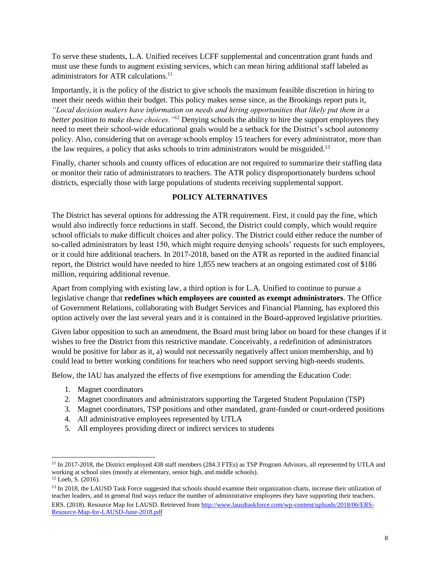To serve these students, L.A. Unified receives LCFF supplemental and concentration grant funds and must use these funds to augment existing services, which can mean hiring additional staff labeled as administrators for ATR calculations.<sup>11</sup>

Importantly, it is the policy of the district to give schools the maximum feasible discretion in hiring to meet their needs within their budget. This policy makes sense since, as the Brookings report puts it, *"Local decision makers have information on needs and hiring opportunities that likely put them in a better position to make these choices.* "<sup>12</sup> Denying schools the ability to hire the support employees they need to meet their school-wide educational goals would be a setback for the District's school autonomy policy. Also, considering that on average schools employ 15 teachers for every administrator, more than the law requires, a policy that asks schools to trim administrators would be misguided.<sup>13</sup>

Finally, charter schools and county offices of education are not required to summarize their staffing data or monitor their ratio of administrators to teachers. The ATR policy disproportionately burdens school districts, especially those with large populations of students receiving supplemental support.

### **POLICY ALTERNATIVES**

The District has several options for addressing the ATR requirement. First, it could pay the fine, which would also indirectly force reductions in staff. Second, the District could comply, which would require school officials to make difficult choices and alter policy. The District could either reduce the number of so-called administrators by least 150, which might require denying schools' requests for such employees, or it could hire additional teachers. In 2017-2018, based on the ATR as reported in the audited financial report, the District would have needed to hire 1,855 new teachers at an ongoing estimated cost of \$186 million, requiring additional revenue.

Apart from complying with existing law, a third option is for L.A. Unified to continue to pursue a legislative change that **redefines which employees are counted as exempt administrators**. The Office of Government Relations, collaborating with Budget Services and Financial Planning, has explored this option actively over the last several years and it is contained in the Board-approved legislative priorities.

Given labor opposition to such an amendment, the Board must bring labor on board for these changes if it wishes to free the District from this restrictive mandate. Conceivably, a redefinition of administrators would be positive for labor as it, a) would not necessarily negatively affect union membership, and b) could lead to better working conditions for teachers who need support serving high-needs students.

Below, the IAU has analyzed the effects of five exemptions for amending the Education Code:

- 1. Magnet coordinators
- 2. Magnet coordinators and administrators supporting the Targeted Student Population (TSP)
- 3. Magnet coordinators, TSP positions and other mandated, grant-funded or court-ordered positions
- 4. All administrative employees represented by UTLA
- 5. All employees providing direct or indirect services to students

 $\overline{a}$ 

<sup>&</sup>lt;sup>11</sup> In 2017-2018, the District employed 438 staff members (284.3 FTEs) as TSP Program Advisors, all represented by UTLA and working at school sites (mostly at elementary, senior high, and middle schools).

<sup>12</sup> Loeb, S. (2016).

<sup>&</sup>lt;sup>13</sup> In 2018, the LAUSD Task Force suggested that schools should examine their organization charts, increase their utilization of teacher leaders, and in general find ways reduce the number of administrative employees they have supporting their teachers. ERS. (2018). Resource Map for LAUSD. Retrieved from [http://www.lausdtaskforce.com/wp-content/uploads/2018/06/ERS-](http://www.lausdtaskforce.com/wp-content/uploads/2018/06/ERS-Resource-Map-for-LAUSD-June-2018.pdf)[Resource-Map-for-LAUSD-June-2018.pdf](http://www.lausdtaskforce.com/wp-content/uploads/2018/06/ERS-Resource-Map-for-LAUSD-June-2018.pdf)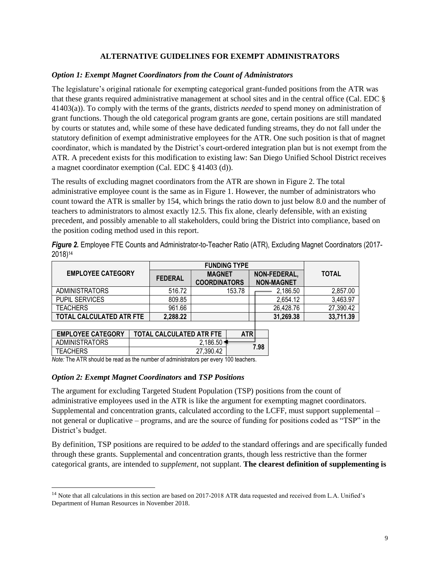### **ALTERNATIVE GUIDELINES FOR EXEMPT ADMINISTRATORS**

#### *Option 1: Exempt Magnet Coordinators from the Count of Administrators*

The legislature's original rationale for exempting categorical grant-funded positions from the ATR was that these grants required administrative management at school sites and in the central office (Cal. EDC § 41403(a)). To comply with the terms of the grants, districts *needed* to spend money on administration of grant functions. Though the old categorical program grants are gone, certain positions are still mandated by courts or statutes and, while some of these have dedicated funding streams, they do not fall under the statutory definition of exempt administrative employees for the ATR. One such position is that of magnet coordinator, which is mandated by the District's court-ordered integration plan but is not exempt from the ATR. A precedent exists for this modification to existing law: San Diego Unified School District receives a magnet coordinator exemption (Cal. EDC § 41403 (d)).

The results of excluding magnet coordinators from the ATR are shown in Figure 2. The total administrative employee count is the same as in Figure 1. However, the number of administrators who count toward the ATR is smaller by 154, which brings the ratio down to just below 8.0 and the number of teachers to administrators to almost exactly 12.5. This fix alone, clearly defensible, with an existing precedent, and possibly amenable to all stakeholders, could bring the District into compliance, based on the position coding method used in this report.

| <b>EMPLOYEE CATEGORY</b> | <b>FEDERAL</b> | <b>MAGNET</b><br><b>COORDINATORS</b> | NON-FEDERAL,<br><b>NON-MAGNET</b> | <b>TOTAL</b> |
|--------------------------|----------------|--------------------------------------|-----------------------------------|--------------|
| <b>ADMINISTRATORS</b>    | 516.72         | 153.78                               | 2,186.50                          | 2,857.00     |
| PUPIL SERVICES           | 809.85         |                                      | 2,654.12                          | 3,463.97     |
| <b>TEACHERS</b>          | 961.66         |                                      | 26,428.76                         | 27,390.42    |
| TOTAL CALCULATED ATR FTE | 2,288.22       |                                      | 31,269.38                         | 33,711.39    |
|                          |                |                                      |                                   |              |

*Figure 2.* Employee FTE Counts and Administrator-to-Teacher Ratio (ATR), Excluding Magnet Coordinators (2017- 2018)<sup>14</sup>

| <b>EMPLOYEE CATEGORY</b> | <b>TOTAL CALCULATED ATR FTE</b> | ATR |      |
|--------------------------|---------------------------------|-----|------|
| ADMINISTRATORS           | $2.186.50 \text{ }^{\bullet}$   |     | 7.98 |
| <b>TEACHERS</b>          | 27.390.42                       |     |      |

*Note:* The ATR should be read as the number of administrators per every 100 teachers.

#### *Option 2: Exempt Magnet Coordinators* **and** *TSP Positions*

The argument for excluding Targeted Student Population (TSP) positions from the count of administrative employees used in the ATR is like the argument for exempting magnet coordinators. Supplemental and concentration grants, calculated according to the LCFF, must support supplemental – not general or duplicative – programs, and are the source of funding for positions coded as "TSP" in the District's budget.

By definition, TSP positions are required to be *added* to the standard offerings and are specifically funded through these grants. Supplemental and concentration grants, though less restrictive than the former categorical grants, are intended to *supplement*, not supplant. **The clearest definition of supplementing is** 

<sup>&</sup>lt;sup>14</sup> Note that all calculations in this section are based on 2017-2018 ATR data requested and received from L.A. Unified's Department of Human Resources in November 2018.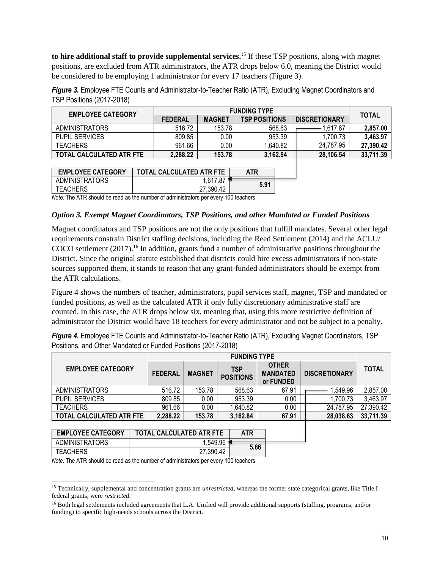**to hire additional staff to provide supplemental services.** <sup>15</sup> If these TSP positions, along with magnet positions, are excluded from ATR administrators, the ATR drops below 6.0, meaning the District would be considered to be employing 1 administrator for every 17 teachers (Figure 3).

*Figure 3.* Employee FTE Counts and Administrator-to-Teacher Ratio (ATR), Excluding Magnet Coordinators and TSP Positions (2017-2018)

| <b>EMPLOYEE CATEGORY</b>        |                          | <b>TOTAL</b>  |                      |                      |           |
|---------------------------------|--------------------------|---------------|----------------------|----------------------|-----------|
|                                 | <b>FEDERAL</b>           | <b>MAGNET</b> | <b>TSP POSITIONS</b> | <b>DISCRETIONARY</b> |           |
| <b>ADMINISTRATORS</b>           | 516.72                   | 153.78        | 568.63               | 1.617.87             | 2,857.00  |
| <b>PUPIL SERVICES</b>           | 809.85                   | 0.00          | 953.39               | 1.700.73             | 3,463.97  |
| <b>TEACHERS</b>                 | 961.66                   | 0.00          | 1,640.82             | 24,787.95            | 27,390.42 |
| <b>TOTAL CALCULATED ATR FTE</b> | 2,288.22                 | 153.78        | 3,162.84             | 28,106.54            | 33,711.39 |
|                                 |                          |               |                      |                      |           |
| <b>EMPLOYEE CATEGORY</b>        | TOTAL CALCULATED ATR FTE |               | <b>ATR</b>           |                      |           |

| <b>AII</b> | TUTAL UALUULATLU ATIVI TE | LIJI LUTLE VATEVUNI |
|------------|---------------------------|---------------------|
| 5.91       |                           | ADMINISTRATORS      |
|            |                           | AΙ                  |

*Note:* The ATR should be read as the number of administrators per every 100 teachers.

### *Option 3. Exempt Magnet Coordinators, TSP Positions, and other Mandated or Funded Positions*

Magnet coordinators and TSP positions are not the only positions that fulfill mandates. Several other legal requirements constrain District staffing decisions, including the Reed Settlement (2014) and the ACLU/ COCO settlement (2017).<sup>16</sup> In addition, grants fund a number of administrative positions throughout the District. Since the original statute established that districts could hire excess administrators if non-state sources supported them, it stands to reason that any grant-funded administrators should be exempt from the ATR calculations.

Figure 4 shows the numbers of teacher, administrators, pupil services staff, magnet, TSP and mandated or funded positions, as well as the calculated ATR if only fully discretionary administrative staff are counted. In this case, the ATR drops below six, meaning that, using this more restrictive definition of administrator the District would have 18 teachers for every administrator and not be subject to a penalty.

|                                                                           | <b>FUNDING TYPE</b> |               |                                |                                              |                      |              |  |
|---------------------------------------------------------------------------|---------------------|---------------|--------------------------------|----------------------------------------------|----------------------|--------------|--|
| <b>EMPLOYEE CATEGORY</b>                                                  | <b>FEDERAL</b>      | <b>MAGNET</b> | <b>TSP</b><br><b>POSITIONS</b> | <b>OTHER</b><br><b>MANDATED</b><br>or FUNDED | <b>DISCRETIONARY</b> | <b>TOTAL</b> |  |
| <b>ADMINISTRATORS</b>                                                     | 516.72              | 153.78        | 568.63                         | 67.91                                        | 1,549.96             | 2,857.00     |  |
| <b>PUPIL SERVICES</b>                                                     | 809.85              | 0.00          | 953.39                         | 0.00                                         | 1,700.73             | 3,463.97     |  |
| <b>TEACHERS</b>                                                           | 961.66              | 0.00          | 1,640.82                       | 0.00                                         | 24,787.95            | 27,390.42    |  |
| TOTAL CALCULATED ATR FTE                                                  | 2,288.22            | 153.78        | 3,162.84                       | 67.91                                        | 28,038.63            | 33,711.39    |  |
|                                                                           |                     |               |                                |                                              |                      |              |  |
| <b>EMPLOYEE CATEGORY</b><br><b>TOTAL CALCULATED ATR FTE</b><br><b>ATR</b> |                     |               |                                |                                              |                      |              |  |

*Figure 4.* Employee FTE Counts and Administrator-to-Teacher Ratio (ATR), Excluding Magnet Coordinators, TSP Positions, and Other Mandated or Funded Positions (2017-2018)

*Note:* The ATR should be read as the number of administrators per every 100 teachers.

 $\overline{a}$ 

ADMINISTRATORS 1,549.96 **5.66** TEACHERS 27,390.42

<sup>15</sup> Technically, supplemental and concentration grants are *unrestricted*, whereas the former state categorical grants, like Title I federal grants, were *restricted*.

<sup>16</sup> Both legal settlements included agreements that L.A. Unified will provide additional supports (staffing, programs, and/or funding) to specific high-needs schools across the District.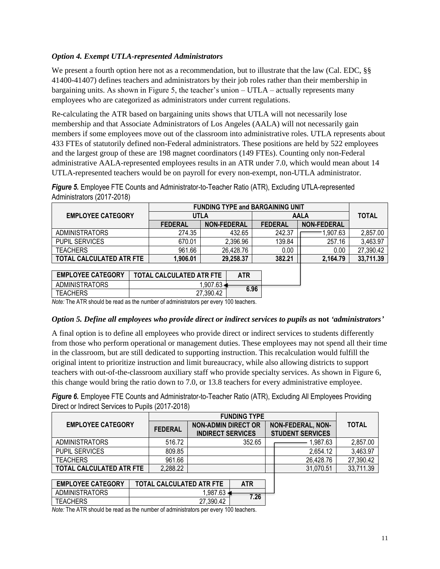# *Option 4. Exempt UTLA-represented Administrators*

We present a fourth option here not as a recommendation, but to illustrate that the law (Cal. EDC, §§ 41400-41407) defines teachers and administrators by their job roles rather than their membership in bargaining units. As shown in Figure 5, the teacher's union – UTLA – actually represents many employees who are categorized as administrators under current regulations.

Re-calculating the ATR based on bargaining units shows that UTLA will not necessarily lose membership and that Associate Administrators of Los Angeles (AALA) will not necessarily gain members if some employees move out of the classroom into administrative roles. UTLA represents about 433 FTEs of statutorily defined non-Federal administrators. These positions are held by 522 employees and the largest group of these are 198 magnet coordinators (149 FTEs). Counting only non-Federal administrative AALA-represented employees results in an ATR under 7.0, which would mean about 14 UTLA-represented teachers would be on payroll for every non-exempt, non-UTLA administrator.

|                            | <b>Figure 5.</b> Employee FTE Counts and Administrator-to-Teacher Ratio (ATR), Excluding UTLA-represented |  |  |  |
|----------------------------|-----------------------------------------------------------------------------------------------------------|--|--|--|
| Administrators (2017-2018) |                                                                                                           |  |  |  |

|                          | <b>FUNDING TYPE and BARGAINING UNIT</b> |                    |                |                    |           |
|--------------------------|-----------------------------------------|--------------------|----------------|--------------------|-----------|
| <b>EMPLOYEE CATEGORY</b> | UTLA                                    |                    | <b>AALA</b>    | <b>TOTAL</b>       |           |
|                          | <b>FEDERAL</b>                          | <b>NON-FEDERAL</b> | <b>FEDERAL</b> | <b>NON-FEDERAL</b> |           |
| <b>ADMINISTRATORS</b>    | 274.35                                  | 432.65             | 242.37         | .907.63            | 2,857.00  |
| <b>PUPIL SERVICES</b>    | 670.01                                  | 2,396.96           | 139.84         | 257.16             | 3,463.97  |
| <b>TEACHERS</b>          | 961.66                                  | 26,428.76          | 0.00           | 0.00               | 27,390.42 |
| TOTAL CALCULATED ATR FTE | 1.906.01                                | 29,258.37          | 382.21         | 2.164.79           | 33,711.39 |
|                          |                                         |                    |                |                    |           |

| <b>EMPLOYEE CATEGORY</b> | <b>TOTAL CALCULATED ATR FTE</b> | ATR  |  |
|--------------------------|---------------------------------|------|--|
| ADMINISTRATORS           | $1.907.63 -$                    | 6.96 |  |
| TEACHERS                 | 27.390.42                       |      |  |

*Note:* The ATR should be read as the number of administrators per every 100 teachers.

#### *Option 5. Define all employees who provide direct or indirect services to pupils as* **not** *'administrators'*

A final option is to define all employees who provide direct or indirect services to students differently from those who perform operational or management duties. These employees may not spend all their time in the classroom, but are still dedicated to supporting instruction. This recalculation would fulfill the original intent to prioritize instruction and limit bureaucracy, while also allowing districts to support teachers with out-of-the-classroom auxiliary staff who provide specialty services. As shown in Figure 6, this change would bring the ratio down to 7.0, or 13.8 teachers for every administrative employee.

*Figure 6.* Employee FTE Counts and Administrator-to-Teacher Ratio (ATR), Excluding All Employees Providing Direct or Indirect Services to Pupils (2017-2018)

|                                 | <b>FUNDING TYPE</b>       |                                                        |                                                     |              |  |
|---------------------------------|---------------------------|--------------------------------------------------------|-----------------------------------------------------|--------------|--|
| <b>EMPLOYEE CATEGORY</b>        | <b>FEDERAL</b>            | <b>NON-ADMIN DIRECT OR</b><br><b>INDIRECT SERVICES</b> | <b>NON-FEDERAL, NON-</b><br><b>STUDENT SERVICES</b> | <b>TOTAL</b> |  |
| <b>ADMINISTRATORS</b>           | 516.72                    | 352.65                                                 | 1,987.63                                            | 2,857.00     |  |
| <b>PUPIL SERVICES</b>           | 809.85                    |                                                        | 2,654.12                                            | 3,463.97     |  |
| <b>TEACHERS</b>                 | 961.66                    |                                                        | 26,428.76                                           | 27,390.42    |  |
| <b>TOTAL CALCULATED ATR FTE</b> | 2,288.22                  |                                                        | 31,070.51                                           | 33,711.39    |  |
|                                 |                           |                                                        |                                                     |              |  |
| <b>EMBLOVEE CATECODY</b>        | TOTAL CALCULATED ATD ETE. | <b>ATD</b>                                             |                                                     |              |  |

| <b>EMPLOYEE CATEGORY</b> | <b>TOTAL CALCULATED ATR FTE</b> | ATR                                |  |
|--------------------------|---------------------------------|------------------------------------|--|
| <b>ADMINISTRATORS</b>    | 1.987.63                        | 7.26                               |  |
| TEACHERS                 | 27.390.42                       |                                    |  |
| .                        |                                 | $\sim$ $\sim$ $\sim$ $\sim$ $\sim$ |  |

*Note:* The ATR should be read as the number of administrators per every 100 teachers.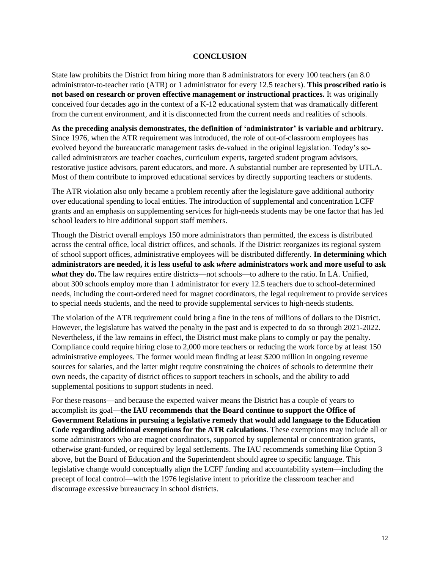#### **CONCLUSION**

State law prohibits the District from hiring more than 8 administrators for every 100 teachers (an 8.0 administrator-to-teacher ratio (ATR) or 1 administrator for every 12.5 teachers). **This proscribed ratio is not based on research or proven effective management or instructional practices.** It was originally conceived four decades ago in the context of a K-12 educational system that was dramatically different from the current environment, and it is disconnected from the current needs and realities of schools.

**As the preceding analysis demonstrates, the definition of 'administrator' is variable and arbitrary.** Since 1976, when the ATR requirement was introduced, the role of out-of-classroom employees has evolved beyond the bureaucratic management tasks de-valued in the original legislation. Today's socalled administrators are teacher coaches, curriculum experts, targeted student program advisors, restorative justice advisors, parent educators, and more. A substantial number are represented by UTLA. Most of them contribute to improved educational services by directly supporting teachers or students.

The ATR violation also only became a problem recently after the legislature gave additional authority over educational spending to local entities. The introduction of supplemental and concentration LCFF grants and an emphasis on supplementing services for high-needs students may be one factor that has led school leaders to hire additional support staff members.

Though the District overall employs 150 more administrators than permitted, the excess is distributed across the central office, local district offices, and schools. If the District reorganizes its regional system of school support offices, administrative employees will be distributed differently. **In determining which administrators are needed, it is less useful to ask** *where* **administrators work and more useful to ask**  *what* **they do.** The law requires entire districts—not schools—to adhere to the ratio. In LA. Unified, about 300 schools employ more than 1 administrator for every 12.5 teachers due to school-determined needs, including the court-ordered need for magnet coordinators, the legal requirement to provide services to special needs students, and the need to provide supplemental services to high-needs students.

The violation of the ATR requirement could bring a fine in the tens of millions of dollars to the District. However, the legislature has waived the penalty in the past and is expected to do so through 2021-2022. Nevertheless, if the law remains in effect, the District must make plans to comply or pay the penalty. Compliance could require hiring close to 2,000 more teachers or reducing the work force by at least 150 administrative employees. The former would mean finding at least \$200 million in ongoing revenue sources for salaries, and the latter might require constraining the choices of schools to determine their own needs, the capacity of district offices to support teachers in schools, and the ability to add supplemental positions to support students in need.

For these reasons—and because the expected waiver means the District has a couple of years to accomplish its goal—**the IAU recommends that the Board continue to support the Office of Government Relations in pursuing a legislative remedy that would add language to the Education Code regarding additional exemptions for the ATR calculations**. These exemptions may include all or some administrators who are magnet coordinators, supported by supplemental or concentration grants, otherwise grant-funded, or required by legal settlements. The IAU recommends something like Option 3 above, but the Board of Education and the Superintendent should agree to specific language. This legislative change would conceptually align the LCFF funding and accountability system—including the precept of local control—with the 1976 legislative intent to prioritize the classroom teacher and discourage excessive bureaucracy in school districts.